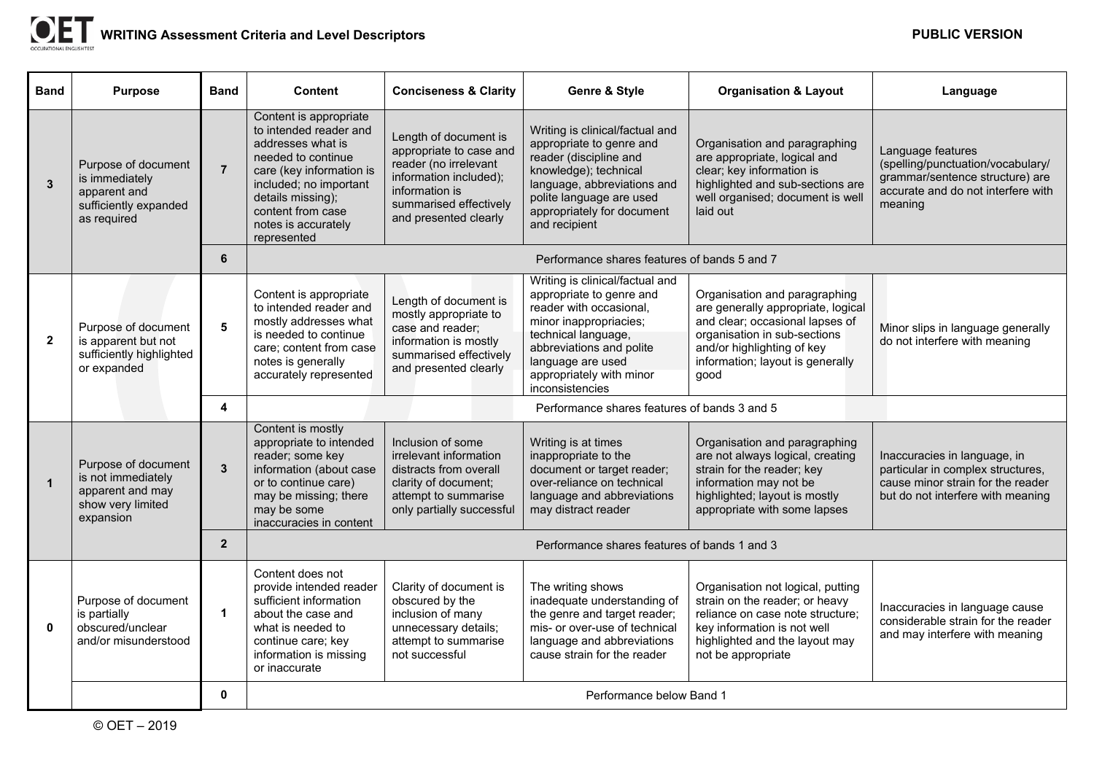| <b>Band</b>    | <b>Purpose</b>                                                                                  | <b>Band</b>    | <b>Content</b>                                                                                                                                                                                                                    | <b>Conciseness &amp; Clarity</b>                                                                                                                                         | Genre & Style                                                                                                                                                                                                                           | <b>Organisation &amp; Layout</b>                                                                                                                                                                                 | Language                                                                                                                                    |
|----------------|-------------------------------------------------------------------------------------------------|----------------|-----------------------------------------------------------------------------------------------------------------------------------------------------------------------------------------------------------------------------------|--------------------------------------------------------------------------------------------------------------------------------------------------------------------------|-----------------------------------------------------------------------------------------------------------------------------------------------------------------------------------------------------------------------------------------|------------------------------------------------------------------------------------------------------------------------------------------------------------------------------------------------------------------|---------------------------------------------------------------------------------------------------------------------------------------------|
| $\overline{3}$ | Purpose of document<br>is immediately<br>apparent and<br>sufficiently expanded<br>as required   | $\overline{7}$ | Content is appropriate<br>to intended reader and<br>addresses what is<br>needed to continue<br>care (key information is<br>included; no important<br>details missing);<br>content from case<br>notes is accurately<br>represented | Length of document is<br>appropriate to case and<br>reader (no irrelevant<br>information included);<br>information is<br>summarised effectively<br>and presented clearly | Writing is clinical/factual and<br>appropriate to genre and<br>reader (discipline and<br>knowledge); technical<br>language, abbreviations and<br>polite language are used<br>appropriately for document<br>and recipient                | Organisation and paragraphing<br>are appropriate, logical and<br>clear; key information is<br>highlighted and sub-sections are<br>well organised; document is well<br>laid out                                   | Language features<br>(spelling/punctuation/vocabulary/<br>grammar/sentence structure) are<br>accurate and do not interfere with<br>meaning  |
|                |                                                                                                 | 6              | Performance shares features of bands 5 and 7                                                                                                                                                                                      |                                                                                                                                                                          |                                                                                                                                                                                                                                         |                                                                                                                                                                                                                  |                                                                                                                                             |
| $\overline{2}$ | Purpose of document<br>is apparent but not<br>sufficiently highlighted<br>or expanded           | 5              | Content is appropriate<br>to intended reader and<br>mostly addresses what<br>is needed to continue<br>care; content from case<br>notes is generally<br>accurately represented                                                     | Length of document is<br>mostly appropriate to<br>case and reader;<br>information is mostly<br>summarised effectively<br>and presented clearly                           | Writing is clinical/factual and<br>appropriate to genre and<br>reader with occasional,<br>minor inappropriacies;<br>technical language,<br>abbreviations and polite<br>language are used<br>appropriately with minor<br>inconsistencies | Organisation and paragraphing<br>are generally appropriate, logical<br>and clear; occasional lapses of<br>organisation in sub-sections<br>and/or highlighting of key<br>information; layout is generally<br>good | Minor slips in language generally<br>do not interfere with meaning                                                                          |
|                |                                                                                                 | 4              | Performance shares features of bands 3 and 5                                                                                                                                                                                      |                                                                                                                                                                          |                                                                                                                                                                                                                                         |                                                                                                                                                                                                                  |                                                                                                                                             |
| $\mathbf{1}$   | Purpose of document<br>is not immediately<br>apparent and may<br>show very limited<br>expansion | $\overline{3}$ | Content is mostly<br>appropriate to intended<br>reader; some key<br>information (about case<br>or to continue care)<br>may be missing; there<br>may be some<br>inaccuracies in content                                            | Inclusion of some<br>irrelevant information<br>distracts from overall<br>clarity of document;<br>attempt to summarise<br>only partially successful                       | Writing is at times<br>inappropriate to the<br>document or target reader;<br>over-reliance on technical<br>language and abbreviations<br>may distract reader                                                                            | Organisation and paragraphing<br>are not always logical, creating<br>strain for the reader; key<br>information may not be<br>highlighted; layout is mostly<br>appropriate with some lapses                       | Inaccuracies in language, in<br>particular in complex structures,<br>cause minor strain for the reader<br>but do not interfere with meaning |
|                |                                                                                                 | $\overline{2}$ | Performance shares features of bands 1 and 3                                                                                                                                                                                      |                                                                                                                                                                          |                                                                                                                                                                                                                                         |                                                                                                                                                                                                                  |                                                                                                                                             |
| $\mathbf{0}$   | Purpose of document<br>is partially<br>obscured/unclear<br>and/or misunderstood                 | $\mathbf 1$    | Content does not<br>provide intended reader<br>sufficient information<br>about the case and<br>what is needed to<br>continue care; key<br>information is missing<br>or inaccurate                                                 | Clarity of document is<br>obscured by the<br>inclusion of many<br>unnecessary details;<br>attempt to summarise<br>not successful                                         | The writing shows<br>inadequate understanding of<br>the genre and target reader;<br>mis- or over-use of technical<br>language and abbreviations<br>cause strain for the reader                                                          | Organisation not logical, putting<br>strain on the reader; or heavy<br>reliance on case note structure;<br>key information is not well<br>highlighted and the layout may<br>not be appropriate                   | Inaccuracies in language cause<br>considerable strain for the reader<br>and may interfere with meaning                                      |
|                |                                                                                                 | $\mathbf{0}$   | Performance below Band 1                                                                                                                                                                                                          |                                                                                                                                                                          |                                                                                                                                                                                                                                         |                                                                                                                                                                                                                  |                                                                                                                                             |